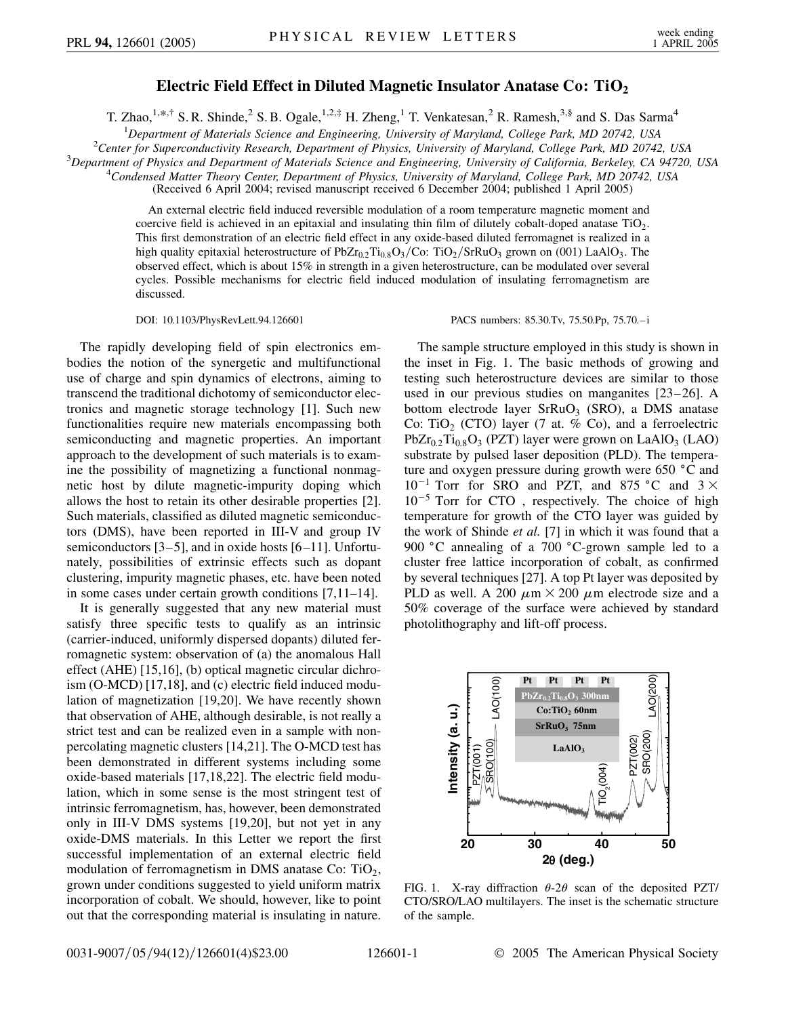## **Electric Field Effect in Diluted Magnetic Insulator Anatase Co: TiO<sub>2</sub>**

T. Zhao,<sup>1,\*,†</sup> S. R. Shinde,<sup>2</sup> S. B. Ogale,<sup>1,2,‡</sup> H. Zheng,<sup>1</sup> T. Venkatesan,<sup>2</sup> R. Ramesh,<sup>3,§</sup> and S. Das Sarma<sup>4</sup>

<sup>1</sup> Department of Materials Science and Engineering, University of Maryland, College Park, MD 20742, USA<br><sup>2</sup>Center for Sungroopductivity Pessarch, Department of Physics, University of Maryland, College Park, MD 20742

<sup>2</sup> Center for Superconductivity Research, Department of Physics, University of Maryland, College Park, MD 20742, USA

*Department of Physics and Department of Materials Science and Engineering, University of California, Berkeley, CA 94720, USA* <sup>4</sup>

*Condensed Matter Theory Center, Department of Physics, University of Maryland, College Park, MD 20742, USA*

(Received 6 April 2004; revised manuscript received 6 December 2004; published 1 April 2005)

An external electric field induced reversible modulation of a room temperature magnetic moment and coercive field is achieved in an epitaxial and insulating thin film of dilutely cobalt-doped anatase  $TiO<sub>2</sub>$ . This first demonstration of an electric field effect in any oxide-based diluted ferromagnet is realized in a high quality epitaxial heterostructure of PbZr<sub>0.2</sub>Ti<sub>0.8</sub>O<sub>3</sub>/Co: TiO<sub>2</sub>/SrRuO<sub>3</sub> grown on (001) LaAlO<sub>3</sub>. The observed effect, which is about 15% in strength in a given heterostructure, can be modulated over several cycles. Possible mechanisms for electric field induced modulation of insulating ferromagnetism are discussed.

DOI: 10.1103/PhysRevLett.94.126601 PACS numbers: 85.30.Tv, 75.50.Pp, 75.70.–i

The sample structure employed in this study is shown in

The rapidly developing field of spin electronics embodies the notion of the synergetic and multifunctional use of charge and spin dynamics of electrons, aiming to transcend the traditional dichotomy of semiconductor electronics and magnetic storage technology [1]. Such new functionalities require new materials encompassing both semiconducting and magnetic properties. An important approach to the development of such materials is to examine the possibility of magnetizing a functional nonmagnetic host by dilute magnetic-impurity doping which allows the host to retain its other desirable properties [2]. Such materials, classified as diluted magnetic semiconductors (DMS), have been reported in III-V and group IV semiconductors [3–5], and in oxide hosts [6–11]. Unfortunately, possibilities of extrinsic effects such as dopant clustering, impurity magnetic phases, etc. have been noted in some cases under certain growth conditions [7,11–14].

It is generally suggested that any new material must satisfy three specific tests to qualify as an intrinsic (carrier-induced, uniformly dispersed dopants) diluted ferromagnetic system: observation of (a) the anomalous Hall effect (AHE) [15,16], (b) optical magnetic circular dichroism (O-MCD) [17,18], and (c) electric field induced modulation of magnetization [19,20]. We have recently shown that observation of AHE, although desirable, is not really a strict test and can be realized even in a sample with nonpercolating magnetic clusters [14,21]. The O-MCD test has been demonstrated in different systems including some oxide-based materials [17,18,22]. The electric field modulation, which in some sense is the most stringent test of intrinsic ferromagnetism, has, however, been demonstrated only in III-V DMS systems [19,20], but not yet in any oxide-DMS materials. In this Letter we report the first successful implementation of an external electric field modulation of ferromagnetism in DMS anatase Co:  $TiO<sub>2</sub>$ , grown under conditions suggested to yield uniform matrix incorporation of cobalt. We should, however, like to point out that the corresponding material is insulating in nature. the inset in Fig. 1. The basic methods of growing and testing such heterostructure devices are similar to those used in our previous studies on manganites [23–26]. A bottom electrode layer  $SFRuO<sub>3</sub>$  (SRO), a DMS anatase Co: TiO<sub>2</sub> (CTO) layer (7 at. % Co), and a ferroelectric  $PbZr_{0.2}Ti_{0.8}O_3$  (PZT) layer were grown on LaAlO<sub>3</sub> (LAO) substrate by pulsed laser deposition (PLD). The temperature and oxygen pressure during growth were 650  $^{\circ}$ C and  $10^{-1}$  Torr for SRO and PZT, and 875 °C and 3  $\times$  $10^{-5}$  Torr for CTO, respectively. The choice of high temperature for growth of the CTO layer was guided by the work of Shinde *et al.* [7] in which it was found that a 900 °C annealing of a 700 °C-grown sample led to a cluster free lattice incorporation of cobalt, as confirmed by several techniques [27]. A top Pt layer was deposited by PLD as well. A 200  $\mu$ m  $\times$  200  $\mu$ m electrode size and a 50% coverage of the surface were achieved by standard photolithography and lift-off process.



FIG. 1. X-ray diffraction  $\theta$ -2 $\theta$  scan of the deposited PZT/ CTO/SRO/LAO multilayers. The inset is the schematic structure of the sample.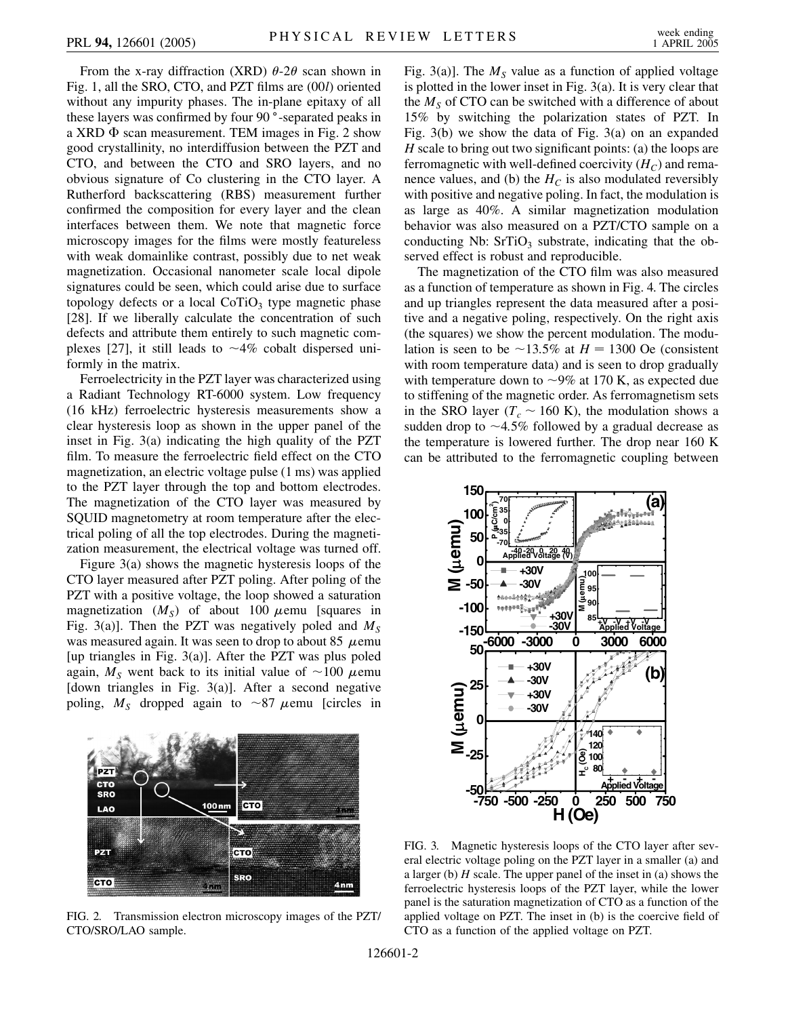From the x-ray diffraction (XRD)  $\theta$ -2 $\theta$  scan shown in Fig. 1, all the SRO, CTO, and PZT films are (00*l*) oriented without any impurity phases. The in-plane epitaxy of all these layers was confirmed by four 90<sup>°</sup>-separated peaks in a XRD  $\Phi$  scan measurement. TEM images in Fig. 2 show good crystallinity, no interdiffusion between the PZT and CTO, and between the CTO and SRO layers, and no obvious signature of Co clustering in the CTO layer. A Rutherford backscattering (RBS) measurement further confirmed the composition for every layer and the clean interfaces between them. We note that magnetic force microscopy images for the films were mostly featureless with weak domainlike contrast, possibly due to net weak magnetization. Occasional nanometer scale local dipole signatures could be seen, which could arise due to surface topology defects or a local  $CoTiO<sub>3</sub>$  type magnetic phase [28]. If we liberally calculate the concentration of such defects and attribute them entirely to such magnetic complexes [27], it still leads to  $\sim$ 4% cobalt dispersed uniformly in the matrix.

Ferroelectricity in the PZT layer was characterized using a Radiant Technology RT-6000 system. Low frequency (16 kHz) ferroelectric hysteresis measurements show a clear hysteresis loop as shown in the upper panel of the inset in Fig. 3(a) indicating the high quality of the PZT film. To measure the ferroelectric field effect on the CTO magnetization, an electric voltage pulse (1 ms) was applied to the PZT layer through the top and bottom electrodes. The magnetization of the CTO layer was measured by SQUID magnetometry at room temperature after the electrical poling of all the top electrodes. During the magnetization measurement, the electrical voltage was turned off.

Figure 3(a) shows the magnetic hysteresis loops of the CTO layer measured after PZT poling. After poling of the PZT with a positive voltage, the loop showed a saturation magnetization  $(M<sub>S</sub>)$  of about 100  $\mu$ emu [squares in Fig. 3(a)]. Then the PZT was negatively poled and  $M<sub>S</sub>$ was measured again. It was seen to drop to about 85  $\mu$ emu [up triangles in Fig.  $3(a)$ ]. After the PZT was plus poled again,  $M<sub>S</sub>$  went back to its initial value of  $\sim$ 100  $\mu$ emu [down triangles in Fig.  $3(a)$ ]. After a second negative poling,  $M<sub>S</sub>$  dropped again to ~87  $\mu$ emu [circles in



FIG. 2. Transmission electron microscopy images of the PZT/ CTO/SRO/LAO sample.

Fig. 3(a)]. The  $M<sub>S</sub>$  value as a function of applied voltage is plotted in the lower inset in Fig. 3(a). It is very clear that the  $M<sub>S</sub>$  of CTO can be switched with a difference of about 15% by switching the polarization states of PZT. In Fig. 3(b) we show the data of Fig. 3(a) on an expanded *H* scale to bring out two significant points: (a) the loops are ferromagnetic with well-defined coercivity  $(H_C)$  and remanence values, and (b) the  $H_C$  is also modulated reversibly with positive and negative poling. In fact, the modulation is as large as 40%. A similar magnetization modulation behavior was also measured on a PZT/CTO sample on a conducting Nb:  $SrTiO<sub>3</sub>$  substrate, indicating that the observed effect is robust and reproducible.

The magnetization of the CTO film was also measured as a function of temperature as shown in Fig. 4. The circles and up triangles represent the data measured after a positive and a negative poling, respectively. On the right axis (the squares) we show the percent modulation. The modulation is seen to be  $\sim$ 13.5% at *H* = 1300 Oe (consistent with room temperature data) and is seen to drop gradually with temperature down to  $\sim$ 9% at 170 K, as expected due to stiffening of the magnetic order. As ferromagnetism sets in the SRO layer ( $T_c \sim 160$  K), the modulation shows a sudden drop to  $\sim$ 4.5% followed by a gradual decrease as the temperature is lowered further. The drop near 160 K can be attributed to the ferromagnetic coupling between



FIG. 3. Magnetic hysteresis loops of the CTO layer after several electric voltage poling on the PZT layer in a smaller (a) and a larger (b) *H* scale. The upper panel of the inset in (a) shows the ferroelectric hysteresis loops of the PZT layer, while the lower panel is the saturation magnetization of CTO as a function of the applied voltage on PZT. The inset in (b) is the coercive field of CTO as a function of the applied voltage on PZT.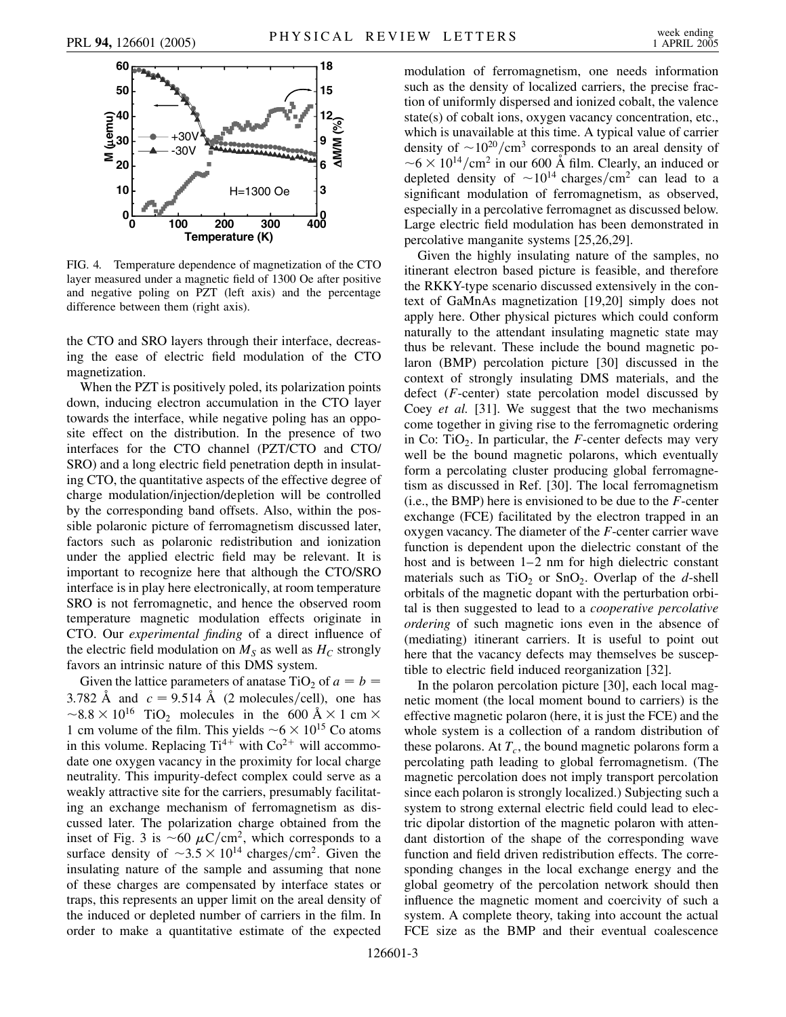

FIG. 4. Temperature dependence of magnetization of the CTO layer measured under a magnetic field of 1300 Oe after positive and negative poling on PZT (left axis) and the percentage difference between them (right axis).

the CTO and SRO layers through their interface, decreasing the ease of electric field modulation of the CTO magnetization.

When the PZT is positively poled, its polarization points down, inducing electron accumulation in the CTO layer towards the interface, while negative poling has an opposite effect on the distribution. In the presence of two interfaces for the CTO channel (PZT/CTO and CTO/ SRO) and a long electric field penetration depth in insulating CTO, the quantitative aspects of the effective degree of charge modulation/injection/depletion will be controlled by the corresponding band offsets. Also, within the possible polaronic picture of ferromagnetism discussed later, factors such as polaronic redistribution and ionization under the applied electric field may be relevant. It is important to recognize here that although the CTO/SRO interface is in play here electronically, at room temperature SRO is not ferromagnetic, and hence the observed room temperature magnetic modulation effects originate in CTO. Our *experimental finding* of a direct influence of the electric field modulation on  $M<sub>S</sub>$  as well as  $H<sub>C</sub>$  strongly favors an intrinsic nature of this DMS system.

Given the lattice parameters of anatase TiO<sub>2</sub> of  $a = b$ 3.782 Å and  $c = 9.514$  Å (2 molecules/cell), one has  $\sim$ 8.8  $\times$  10<sup>16</sup> TiO<sub>2</sub> molecules in the 600 Å  $\times$  1 cm  $\times$ 1 cm volume of the film. This yields  $\sim 6 \times 10^{15}$  Co atoms in this volume. Replacing  $Ti^{4+}$  with  $Co^{2+}$  will accommodate one oxygen vacancy in the proximity for local charge neutrality. This impurity-defect complex could serve as a weakly attractive site for the carriers, presumably facilitating an exchange mechanism of ferromagnetism as discussed later. The polarization charge obtained from the inset of Fig. 3 is  $\sim 60 \mu C/cm^2$ , which corresponds to a surface density of  $\sim 3.5 \times 10^{14}$  charges/cm<sup>2</sup>. Given the insulating nature of the sample and assuming that none of these charges are compensated by interface states or traps, this represents an upper limit on the areal density of the induced or depleted number of carriers in the film. In order to make a quantitative estimate of the expected modulation of ferromagnetism, one needs information such as the density of localized carriers, the precise fraction of uniformly dispersed and ionized cobalt, the valence state(s) of cobalt ions, oxygen vacancy concentration, etc., which is unavailable at this time. A typical value of carrier density of  $\sim 10^{20}/\text{cm}^3$  corresponds to an areal density of  $\sim 6 \times 10^{14}/\text{cm}^2$  in our 600 Å film. Clearly, an induced or depleted density of  $\sim 10^{14}$  charges/cm<sup>2</sup> can lead to a significant modulation of ferromagnetism, as observed, especially in a percolative ferromagnet as discussed below. Large electric field modulation has been demonstrated in percolative manganite systems [25,26,29].

Given the highly insulating nature of the samples, no itinerant electron based picture is feasible, and therefore the RKKY-type scenario discussed extensively in the context of GaMnAs magnetization [19,20] simply does not apply here. Other physical pictures which could conform naturally to the attendant insulating magnetic state may thus be relevant. These include the bound magnetic polaron (BMP) percolation picture [30] discussed in the context of strongly insulating DMS materials, and the defect (*F*-center) state percolation model discussed by Coey *et al.* [31]. We suggest that the two mechanisms come together in giving rise to the ferromagnetic ordering in Co: TiO<sub>2</sub>. In particular, the *F*-center defects may very well be the bound magnetic polarons, which eventually form a percolating cluster producing global ferromagnetism as discussed in Ref. [30]. The local ferromagnetism (i.e., the BMP) here is envisioned to be due to the *F*-center exchange (FCE) facilitated by the electron trapped in an oxygen vacancy. The diameter of the *F*-center carrier wave function is dependent upon the dielectric constant of the host and is between  $1-2$  nm for high dielectric constant materials such as  $TiO<sub>2</sub>$  or  $SnO<sub>2</sub>$ . Overlap of the *d*-shell orbitals of the magnetic dopant with the perturbation orbital is then suggested to lead to a *cooperative percolative ordering* of such magnetic ions even in the absence of (mediating) itinerant carriers. It is useful to point out here that the vacancy defects may themselves be susceptible to electric field induced reorganization [32].

In the polaron percolation picture [30], each local magnetic moment (the local moment bound to carriers) is the effective magnetic polaron (here, it is just the FCE) and the whole system is a collection of a random distribution of these polarons. At  $T_c$ , the bound magnetic polarons form a percolating path leading to global ferromagnetism. (The magnetic percolation does not imply transport percolation since each polaron is strongly localized.) Subjecting such a system to strong external electric field could lead to electric dipolar distortion of the magnetic polaron with attendant distortion of the shape of the corresponding wave function and field driven redistribution effects. The corresponding changes in the local exchange energy and the global geometry of the percolation network should then influence the magnetic moment and coercivity of such a system. A complete theory, taking into account the actual FCE size as the BMP and their eventual coalescence